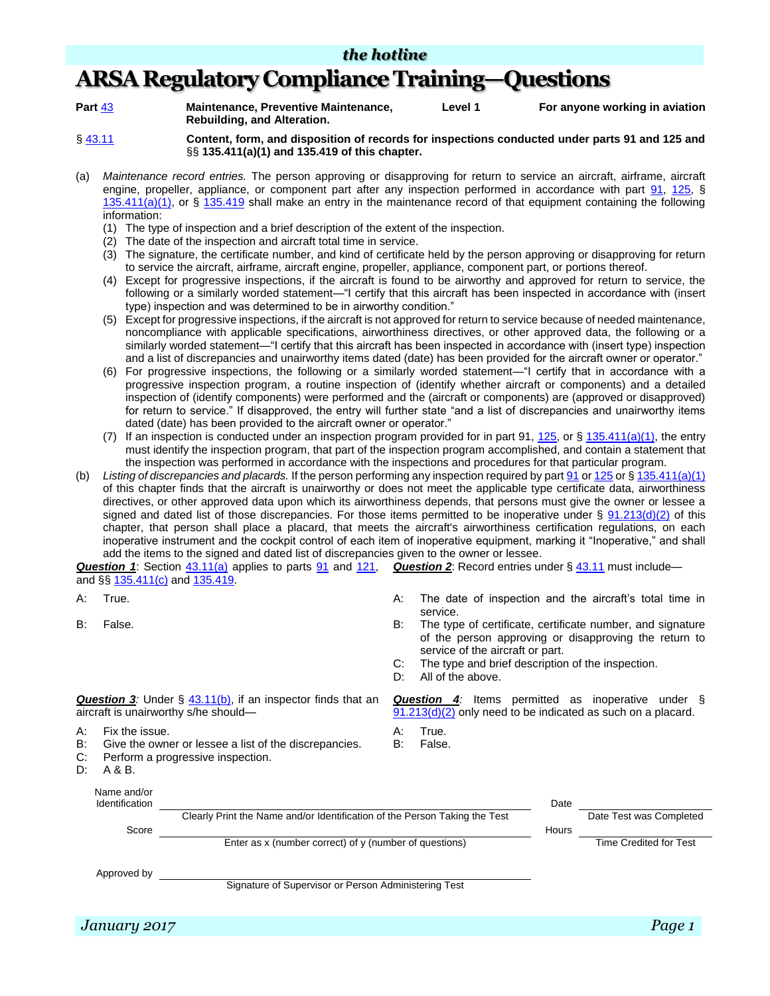## **ARSA Regulatory Compliance Training—Questions**

**Part** [43](http://www.ecfr.gov/cgi-bin/retrieveECFR?gp=&SID=13289ad35faa6833abb2f4870e534adb&mc=true&n=pt14.1.43&r=PART&ty=HTML) **Maintenance, Preventive Maintenance, Rebuilding, and Alteration. Level 1 For anyone working in aviation**

§ [43.11](http://www.ecfr.gov/cgi-bin/text-idx?SID=d2855da985ad5d0d2a8c93d3fa864892&mc=true&node=se14.1.43_111&rgn=div8) **Content, form, and disposition of records for inspections conducted under parts 91 and 125 and**  §§ **135.411(a)(1) and 135.419 of this chapter.**

- (a) *Maintenance record entries.* The person approving or disapproving for return to service an aircraft, airframe, aircraft engine, propeller, appliance, or component part after any inspection performed in accordance with part [91,](http://www.ecfr.gov/cgi-bin/text-idx?SID=9a253aa811f835b952842c260ee877ae&mc=true&tpl=/ecfrbrowse/Title14/14cfr91_main_02.tpl) [125,](http://www.ecfr.gov/cgi-bin/text-idx?SID=9a253aa811f835b952842c260ee877ae&mc=true&tpl=/ecfrbrowse/Title14/14cfr125_main_02.tpl) §  $135.411(a)(1)$ , or § [135.419](http://www.ecfr.gov/cgi-bin/text-idx?SID=9a253aa811f835b952842c260ee877ae&mc=true&node=se14.3.135_1419&rgn=div8) shall make an entry in the maintenance record of that equipment containing the following information:
	- (1) The type of inspection and a brief description of the extent of the inspection.
	- (2) The date of the inspection and aircraft total time in service.
	- (3) The signature, the certificate number, and kind of certificate held by the person approving or disapproving for return to service the aircraft, airframe, aircraft engine, propeller, appliance, component part, or portions thereof.
	- (4) Except for progressive inspections, if the aircraft is found to be airworthy and approved for return to service, the following or a similarly worded statement—"I certify that this aircraft has been inspected in accordance with (insert type) inspection and was determined to be in airworthy condition."
	- (5) Except for progressive inspections, if the aircraft is not approved for return to service because of needed maintenance, noncompliance with applicable specifications, airworthiness directives, or other approved data, the following or a similarly worded statement—"I certify that this aircraft has been inspected in accordance with (insert type) inspection and a list of discrepancies and unairworthy items dated (date) has been provided for the aircraft owner or operator."
	- (6) For progressive inspections, the following or a similarly worded statement—"I certify that in accordance with a progressive inspection program, a routine inspection of (identify whether aircraft or components) and a detailed inspection of (identify components) were performed and the (aircraft or components) are (approved or disapproved) for return to service." If disapproved, the entry will further state "and a list of discrepancies and unairworthy items dated (date) has been provided to the aircraft owner or operator."
	- (7) If an inspection is conducted under an inspection program provided for in part 91,  $125$ , or §  $135.411(a)(1)$ , the entry must identify the inspection program, that part of the inspection program accomplished, and contain a statement that the inspection was performed in accordance with the inspections and procedures for that particular program.
- (b) Listing of discrepancies and placards. If the person performing any inspection required by part [91](http://www.ecfr.gov/cgi-bin/text-idx?SID=9a253aa811f835b952842c260ee877ae&mc=true&tpl=/ecfrbrowse/Title14/14cfr91_main_02.tpl) or [125](http://www.ecfr.gov/cgi-bin/text-idx?SID=9a253aa811f835b952842c260ee877ae&mc=true&tpl=/ecfrbrowse/Title14/14cfr125_main_02.tpl) or § [135.411\(a\)\(1\)](http://www.ecfr.gov/cgi-bin/text-idx?SID=9a253aa811f835b952842c260ee877ae&mc=true&node=se14.3.135_1411&rgn=div8) of this chapter finds that the aircraft is unairworthy or does not meet the applicable type certificate data, airworthiness directives, or other approved data upon which its airworthiness depends, that persons must give the owner or lessee a signed and dated list of those discrepancies. For those items permitted to be inoperative under §  $91.213(d)(2)$  of this chapter, that person shall place a placard, that meets the aircraft's airworthiness certification regulations, on each inoperative instrument and the cockpit control of each item of inoperative equipment, marking it "Inoperative," and shall add the items to the signed and dated list of discrepancies given to the owner or lessee.

| <b>Question 1:</b> Section $43.11(a)$ applies to parts $91$ and $121$ , <b>Question 2:</b> Record entries under § $43.11$ must include— |  |
|-----------------------------------------------------------------------------------------------------------------------------------------|--|
| and §§ 135.411(c) and 135.419.                                                                                                          |  |

| I rue. |
|--------|
|        |

- A: The date of inspection and the aircraft's total time in service.
- B: False. B: The type of certificate, certificate number, and signature of the person approving or disapproving the return to service of the aircraft or part.
	- C: The type and brief description of the inspection.
	- D: All of the above.

*Question 4:* Items permitted as inoperative under §  $91.213(d)(2)$  only need to be indicated as such on a placard.

- A: Fix the issue. A: True.
- B: Give the owner or lessee a list of the discrepancies. B: False.
- C: Perform a progressive inspection.

aircraft is unairworthy s/he should—

**Question 3**<sup>*:*</sup> Under § [43.11\(b\),](http://www.ecfr.gov/cgi-bin/text-idx?SID=91929675e715662f3bdabf1da4cd4270&mc=true&node=se14.1.43_111&rgn=div8) if an inspector finds that an

- D: A & B.
	- Name and/or **Identification** Date **Date** Clearly Print the Name and/or Identification of the Person Taking the Test **Date Test was Completed** Score **Hours** and the second second second second second second second second second second second second second second second second second second second second second second second second second second second second seco Enter as x (number correct) of y (number of questions) Time Credited for Test Approved by Signature of Supervisor or Person Administering Test